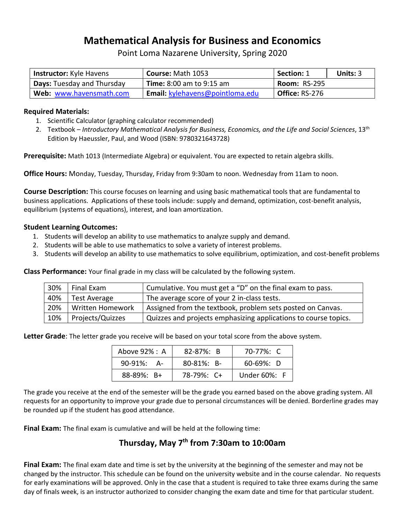## **Mathematical Analysis for Business and Economics**

Point Loma Nazarene University, Spring 2020

| <b>Instructor:</b> Kyle Havens    | <b>Course: Math 1053</b>        | <b>Section: 1</b>   | Units: $3$ |
|-----------------------------------|---------------------------------|---------------------|------------|
| <b>Days:</b> Tuesday and Thursday | <b>Time:</b> 8:00 am to 9:15 am | <b>Room: RS-295</b> |            |
| Web: www.havensmath.com           | Email: kylehavens@pointloma.edu | Office: RS-276      |            |

### **Required Materials:**

- 1. Scientific Calculator (graphing calculator recommended)
- 2. Textbook *Introductory Mathematical Analysis for Business, Economics, and the Life and Social Sciences*, 13th Edition by Haeussler, Paul, and Wood (ISBN: 9780321643728)

**Prerequisite:** Math 1013 (Intermediate Algebra) or equivalent. You are expected to retain algebra skills.

**Office Hours:** Monday, Tuesday, Thursday, Friday from 9:30am to noon. Wednesday from 11am to noon.

**Course Description:** This course focuses on learning and using basic mathematical tools that are fundamental to business applications. Applications of these tools include: supply and demand, optimization, cost-benefit analysis, equilibrium (systems of equations), interest, and loan amortization.

#### **Student Learning Outcomes:**

- 1. Students will develop an ability to use mathematics to analyze supply and demand.
- 2. Students will be able to use mathematics to solve a variety of interest problems.
- 3. Students will develop an ability to use mathematics to solve equilibrium, optimization, and cost-benefit problems

**Class Performance:** Your final grade in my class will be calculated by the following system.

| 30% | Final Exam       | Cumulative. You must get a "D" on the final exam to pass.       |
|-----|------------------|-----------------------------------------------------------------|
| 40% | Test Average     | The average score of your 2 in-class tests.                     |
| 20% | Written Homework | Assigned from the textbook, problem sets posted on Canvas.      |
| 10% | Projects/Quizzes | Quizzes and projects emphasizing applications to course topics. |

**Letter Grade**: The letter grade you receive will be based on your total score from the above system.

| Above 92% : A      | $82 - 87\%$ : B  | 70-77%: C       |
|--------------------|------------------|-----------------|
| $90-91\%$ :<br>- A | $80 - 81\%$ : B- | $60 - 69\%$ : D |
| $88 - 89\%$ : B+   | 78-79%: C+       | Under 60%: F    |

The grade you receive at the end of the semester will be the grade you earned based on the above grading system. All requests for an opportunity to improve your grade due to personal circumstances will be denied. Borderline grades may be rounded up if the student has good attendance.

**Final Exam:** The final exam is cumulative and will be held at the following time:

## **Thursday, May 7 th from 7:30am to 10:00am**

**Final Exam:** The final exam date and time is set by the university at the beginning of the semester and may not be changed by the instructor. This schedule can be found on the university website and in the course calendar. No requests for early examinations will be approved. Only in the case that a student is required to take three exams during the same day of finals week, is an instructor authorized to consider changing the exam date and time for that particular student.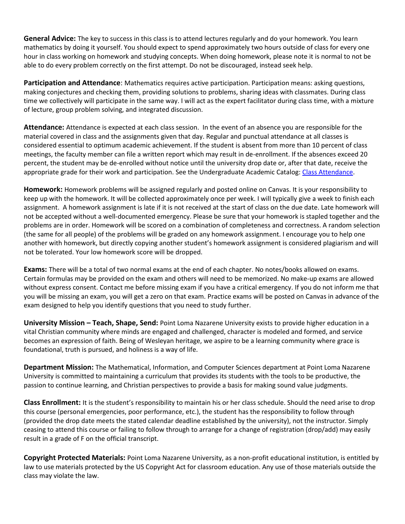**General Advice:** The key to success in this class is to attend lectures regularly and do your homework. You learn mathematics by doing it yourself. You should expect to spend approximately two hours outside of class for every one hour in class working on homework and studying concepts. When doing homework, please note it is normal to not be able to do every problem correctly on the first attempt. Do not be discouraged, instead seek help.

**Participation and Attendance**: Mathematics requires active participation. Participation means: asking questions, making conjectures and checking them, providing solutions to problems, sharing ideas with classmates. During class time we collectively will participate in the same way. I will act as the expert facilitator during class time, with a mixture of lecture, group problem solving, and integrated discussion.

**Attendance:** Attendance is expected at each class session. In the event of an absence you are responsible for the material covered in class and the assignments given that day. Regular and punctual attendance at all classes is considered essential to optimum academic achievement. If the student is absent from more than 10 percent of class meetings, the faculty member can file a written report which may result in de-enrollment. If the absences exceed 20 percent, the student may be de-enrolled without notice until the university drop date or, after that date, receive the appropriate grade for their work and participation. See the Undergraduate Academic Catalog: [Class Attendance.](https://catalog.pointloma.edu/content.php?catoid=35&navoid=2136#Class_Attendance)

**Homework:** Homework problems will be assigned regularly and posted online on Canvas. It is your responsibility to keep up with the homework. It will be collected approximately once per week. I will typically give a week to finish each assignment. A homework assignment is late if it is not received at the start of class on the due date. Late homework will not be accepted without a well-documented emergency. Please be sure that your homework is stapled together and the problems are in order. Homework will be scored on a combination of completeness and correctness. A random selection (the same for all people) of the problems will be graded on any homework assignment. I encourage you to help one another with homework, but directly copying another student's homework assignment is considered plagiarism and will not be tolerated. Your low homework score will be dropped.

**Exams:** There will be a total of two normal exams at the end of each chapter. No notes/books allowed on exams. Certain formulas may be provided on the exam and others will need to be memorized. No make-up exams are allowed without express consent. Contact me before missing exam if you have a critical emergency. If you do not inform me that you will be missing an exam, you will get a zero on that exam. Practice exams will be posted on Canvas in advance of the exam designed to help you identify questions that you need to study further.

**University Mission – Teach, Shape, Send:** Point Loma Nazarene University exists to provide higher education in a vital Christian community where minds are engaged and challenged, character is modeled and formed, and service becomes an expression of faith. Being of Wesleyan heritage, we aspire to be a learning community where grace is foundational, truth is pursued, and holiness is a way of life.

**Department Mission:** The Mathematical, Information, and Computer Sciences department at Point Loma Nazarene University is committed to maintaining a curriculum that provides its students with the tools to be productive, the passion to continue learning, and Christian perspectives to provide a basis for making sound value judgments.

**Class Enrollment:** It is the student's responsibility to maintain his or her class schedule. Should the need arise to drop this course (personal emergencies, poor performance, etc.), the student has the responsibility to follow through (provided the drop date meets the stated calendar deadline established by the university), not the instructor. Simply ceasing to attend this course or failing to follow through to arrange for a change of registration (drop/add) may easily result in a grade of F on the official transcript.

**Copyright Protected Materials:** Point Loma Nazarene University, as a non-profit educational institution, is entitled by law to use materials protected by the US Copyright Act for classroom education. Any use of those materials outside the class may violate the law.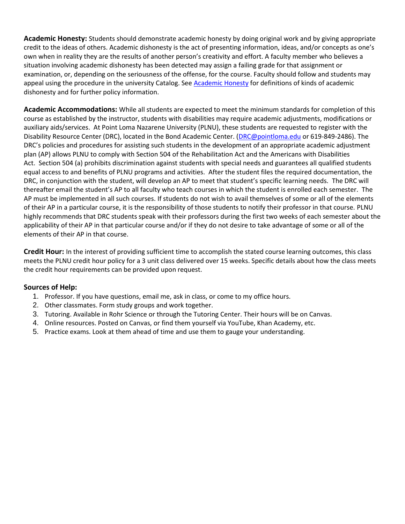**Academic Honesty:** Students should demonstrate academic honesty by doing original work and by giving appropriate credit to the ideas of others. Academic dishonesty is the act of presenting information, ideas, and/or concepts as one's own when in reality they are the results of another person's creativity and effort. A faculty member who believes a situation involving academic dishonesty has been detected may assign a failing grade for that assignment or examination, or, depending on the seriousness of the offense, for the course. Faculty should follow and students may appeal using the procedure in the university Catalog. See [Academic Honesty](https://catalog.pointloma.edu/content.php?catoid=35&navoid=2136#Academic_Honesty) for definitions of kinds of academic dishonesty and for further policy information.

**Academic Accommodations:** While all students are expected to meet the minimum standards for completion of this course as established by the instructor, students with disabilities may require academic adjustments, modifications or auxiliary aids/services. At Point Loma Nazarene University (PLNU), these students are requested to register with the Disability Resource Center (DRC), located in the Bond Academic Center. (*DRC@pointloma.edu* or 619-849-2486). The DRC's policies and procedures for assisting such students in the development of an appropriate academic adjustment plan (AP) allows PLNU to comply with Section 504 of the Rehabilitation Act and the Americans with Disabilities Act. Section 504 (a) prohibits discrimination against students with special needs and guarantees all qualified students equal access to and benefits of PLNU programs and activities. After the student files the required documentation, the DRC, in conjunction with the student, will develop an AP to meet that student's specific learning needs. The DRC will thereafter email the student's AP to all faculty who teach courses in which the student is enrolled each semester. The AP must be implemented in all such courses. If students do not wish to avail themselves of some or all of the elements of their AP in a particular course, it is the responsibility of those students to notify their professor in that course. PLNU highly recommends that DRC students speak with their professors during the first two weeks of each semester about the applicability of their AP in that particular course and/or if they do not desire to take advantage of some or all of the elements of their AP in that course.

**Credit Hour:** In the interest of providing sufficient time to accomplish the stated course learning outcomes, this class meets the PLNU credit hour policy for a 3 unit class delivered over 15 weeks. Specific details about how the class meets the credit hour requirements can be provided upon request.

## **Sources of Help:**

- 1. Professor. If you have questions, email me, ask in class, or come to my office hours.
- 2. Other classmates. Form study groups and work together.
- 3. Tutoring. Available in Rohr Science or through the Tutoring Center. Their hours will be on Canvas.
- 4. Online resources. Posted on Canvas, or find them yourself via YouTube, Khan Academy, etc.
- 5. Practice exams. Look at them ahead of time and use them to gauge your understanding.